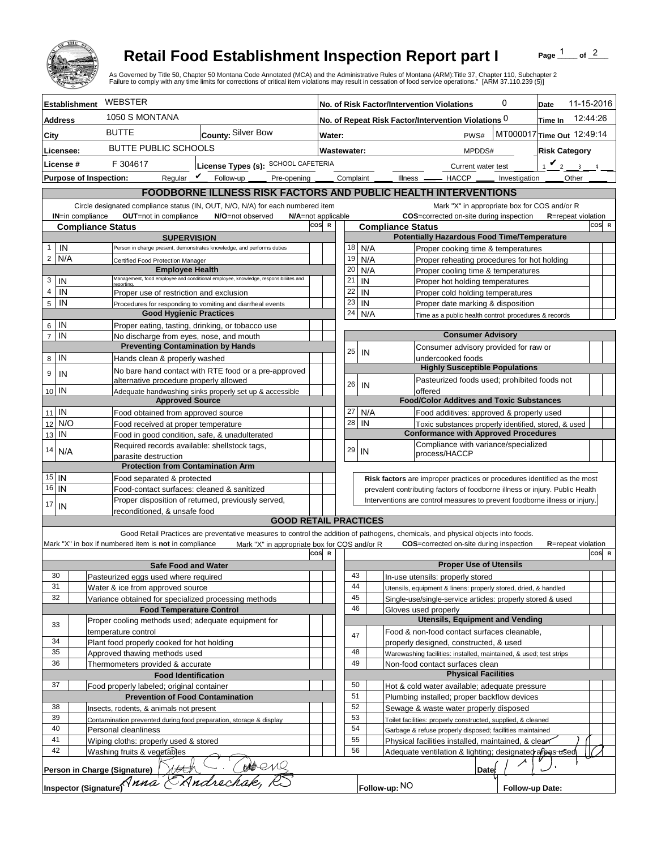

## **Retail Food Establishment Inspection Report part I**

Page  $\frac{1}{1}$  of  $\frac{2}{1}$ 

|                                                                                                                                                                                                                              |                                                                                                         | <b>Retail Food Establishment Inspection Report part I</b><br>As Governed by Title 50, Chapter 50 Montana Code Annotated (MCA) and the Administrative Rules of Montana (ARM):Title 37, Chapter 110, Subchapter 2<br>Failure to comply with any time limits for corrections of critical item violations may result in cessation of food service operations." [ARM 37.110.239 (5)] |                     |                                                     |             |                          |                                        |                                                                                                                 |                    | Page                           | of $2$   |  |
|------------------------------------------------------------------------------------------------------------------------------------------------------------------------------------------------------------------------------|---------------------------------------------------------------------------------------------------------|---------------------------------------------------------------------------------------------------------------------------------------------------------------------------------------------------------------------------------------------------------------------------------------------------------------------------------------------------------------------------------|---------------------|-----------------------------------------------------|-------------|--------------------------|----------------------------------------|-----------------------------------------------------------------------------------------------------------------|--------------------|--------------------------------|----------|--|
| <b>Establishment</b>                                                                                                                                                                                                         | WEBSTER                                                                                                 |                                                                                                                                                                                                                                                                                                                                                                                 |                     | 0<br>No. of Risk Factor/Intervention Violations     |             |                          |                                        |                                                                                                                 | 11-15-2016<br>Date |                                |          |  |
| <b>Address</b>                                                                                                                                                                                                               | 1050 S MONTANA                                                                                          |                                                                                                                                                                                                                                                                                                                                                                                 |                     | No. of Repeat Risk Factor/Intervention Violations 0 |             |                          |                                        |                                                                                                                 |                    | Time In                        | 12:44:26 |  |
| City                                                                                                                                                                                                                         | <b>BUTTE</b><br>County: Silver Bow                                                                      |                                                                                                                                                                                                                                                                                                                                                                                 |                     | MT000017 Time Out 12:49:14<br>PWS#<br>Water:        |             |                          |                                        |                                                                                                                 |                    |                                |          |  |
|                                                                                                                                                                                                                              |                                                                                                         | <b>BUTTE PUBLIC SCHOOLS</b>                                                                                                                                                                                                                                                                                                                                                     |                     |                                                     |             |                          |                                        |                                                                                                                 |                    |                                |          |  |
| Licensee:                                                                                                                                                                                                                    |                                                                                                         |                                                                                                                                                                                                                                                                                                                                                                                 |                     |                                                     | Wastewater: |                          |                                        | <b>Risk Category</b><br>MPDDS#                                                                                  |                    |                                |          |  |
| License #                                                                                                                                                                                                                    | F 304617<br>License Types (s): SCHOOL CAFETERIA                                                         |                                                                                                                                                                                                                                                                                                                                                                                 |                     |                                                     |             |                          | Current water test                     |                                                                                                                 |                    | $\mathbf{v}_2$<br>$\mathbf{R}$ |          |  |
| Reqular $\triangledown$ Follow-up<br>Complaint _<br><b>Purpose of Inspection:</b><br>Other<br>Pre-opening _____<br>Illness <u>- HACCP</u><br>Investigation<br>FOODBORNE ILLNESS RISK FACTORS AND PUBLIC HEALTH INTERVENTIONS |                                                                                                         |                                                                                                                                                                                                                                                                                                                                                                                 |                     |                                                     |             |                          |                                        |                                                                                                                 |                    |                                |          |  |
|                                                                                                                                                                                                                              |                                                                                                         |                                                                                                                                                                                                                                                                                                                                                                                 |                     |                                                     |             |                          |                                        |                                                                                                                 |                    |                                |          |  |
| <b>IN=in compliance</b>                                                                                                                                                                                                      | OUT=not in compliance                                                                                   | Circle designated compliance status (IN, OUT, N/O, N/A) for each numbered item<br>N/O=not observed                                                                                                                                                                                                                                                                              | N/A=not applicable  |                                                     |             |                          |                                        | Mark "X" in appropriate box for COS and/or R<br>COS=corrected on-site during inspection                         |                    | <b>R</b> =repeat violation     |          |  |
| <b>Compliance Status</b>                                                                                                                                                                                                     |                                                                                                         |                                                                                                                                                                                                                                                                                                                                                                                 | cos<br>$\mathbb{R}$ |                                                     |             | <b>Compliance Status</b> |                                        |                                                                                                                 |                    |                                | COS R    |  |
|                                                                                                                                                                                                                              | <b>SUPERVISION</b>                                                                                      |                                                                                                                                                                                                                                                                                                                                                                                 |                     |                                                     |             |                          |                                        | <b>Potentially Hazardous Food Time/Temperature</b>                                                              |                    |                                |          |  |
| IN<br>$\mathbf{1}$                                                                                                                                                                                                           |                                                                                                         | Person in charge present, demonstrates knowledge, and performs duties                                                                                                                                                                                                                                                                                                           |                     | 18                                                  |             | N/A                      |                                        | Proper cooking time & temperatures                                                                              |                    |                                |          |  |
| $\overline{2}$<br>N/A                                                                                                                                                                                                        | Certified Food Protection Manager                                                                       |                                                                                                                                                                                                                                                                                                                                                                                 |                     | 19                                                  |             | N/A                      |                                        | Proper reheating procedures for hot holding                                                                     |                    |                                |          |  |
| 3<br>IN                                                                                                                                                                                                                      | <b>Employee Health</b>                                                                                  | Management, food employee and conditional employee, knowledge, responsibiliites and                                                                                                                                                                                                                                                                                             |                     | 20<br>21                                            | IN          | N/A                      |                                        | Proper cooling time & temperatures                                                                              |                    |                                |          |  |
| $\overline{4}$<br>IN                                                                                                                                                                                                         | reportina.                                                                                              |                                                                                                                                                                                                                                                                                                                                                                                 |                     | 22                                                  | IN          |                          |                                        | Proper hot holding temperatures<br>Proper cold holding temperatures                                             |                    |                                |          |  |
| 5<br>IN                                                                                                                                                                                                                      |                                                                                                         | Proper use of restriction and exclusion<br>Procedures for responding to vomiting and diarrheal events                                                                                                                                                                                                                                                                           |                     |                                                     | 23<br>IN    |                          |                                        | Proper date marking & disposition                                                                               |                    |                                |          |  |
|                                                                                                                                                                                                                              | <b>Good Hygienic Practices</b>                                                                          |                                                                                                                                                                                                                                                                                                                                                                                 |                     | 24                                                  |             | N/A                      |                                        | Time as a public health control: procedures & records                                                           |                    |                                |          |  |
| IN<br>6                                                                                                                                                                                                                      | Proper eating, tasting, drinking, or tobacco use                                                        |                                                                                                                                                                                                                                                                                                                                                                                 |                     |                                                     |             |                          |                                        |                                                                                                                 |                    |                                |          |  |
| $\overline{7}$<br>IN                                                                                                                                                                                                         | No discharge from eyes, nose, and mouth                                                                 |                                                                                                                                                                                                                                                                                                                                                                                 |                     |                                                     |             |                          |                                        | <b>Consumer Advisory</b>                                                                                        |                    |                                |          |  |
| IN<br>8                                                                                                                                                                                                                      | <b>Preventing Contamination by Hands</b>                                                                |                                                                                                                                                                                                                                                                                                                                                                                 |                     | 25                                                  | IN          |                          |                                        | Consumer advisory provided for raw or<br>undercooked foods                                                      |                    |                                |          |  |
|                                                                                                                                                                                                                              | Hands clean & properly washed                                                                           |                                                                                                                                                                                                                                                                                                                                                                                 |                     |                                                     |             |                          |                                        | <b>Highly Susceptible Populations</b>                                                                           |                    |                                |          |  |
| 9<br>IN                                                                                                                                                                                                                      | alternative procedure properly allowed                                                                  | No bare hand contact with RTE food or a pre-approved                                                                                                                                                                                                                                                                                                                            |                     |                                                     |             |                          |                                        | Pasteurized foods used; prohibited foods not                                                                    |                    |                                |          |  |
| 10 IN                                                                                                                                                                                                                        |                                                                                                         | Adequate handwashing sinks properly set up & accessible                                                                                                                                                                                                                                                                                                                         |                     | 26                                                  | IN          |                          |                                        | offered                                                                                                         |                    |                                |          |  |
|                                                                                                                                                                                                                              | <b>Approved Source</b>                                                                                  |                                                                                                                                                                                                                                                                                                                                                                                 |                     |                                                     |             |                          |                                        | <b>Food/Color Additves and Toxic Substances</b>                                                                 |                    |                                |          |  |
| $11$ IN                                                                                                                                                                                                                      | Food obtained from approved source                                                                      |                                                                                                                                                                                                                                                                                                                                                                                 |                     | 27                                                  |             | N/A                      |                                        | Food additives: approved & properly used                                                                        |                    |                                |          |  |
| N/O<br>12                                                                                                                                                                                                                    | Food received at proper temperature                                                                     |                                                                                                                                                                                                                                                                                                                                                                                 |                     | 28                                                  | IN          |                          |                                        | Toxic substances properly identified, stored, & used<br><b>Conformance with Approved Procedures</b>             |                    |                                |          |  |
| IN<br>13                                                                                                                                                                                                                     | Food in good condition, safe, & unadulterated<br>Required records available: shellstock tags,           |                                                                                                                                                                                                                                                                                                                                                                                 |                     |                                                     |             |                          |                                        | Compliance with variance/specialized                                                                            |                    |                                |          |  |
| 14<br>N/A                                                                                                                                                                                                                    | parasite destruction                                                                                    |                                                                                                                                                                                                                                                                                                                                                                                 |                     | 29                                                  | IN          |                          |                                        | process/HACCP                                                                                                   |                    |                                |          |  |
|                                                                                                                                                                                                                              | <b>Protection from Contamination Arm</b>                                                                |                                                                                                                                                                                                                                                                                                                                                                                 |                     |                                                     |             |                          |                                        |                                                                                                                 |                    |                                |          |  |
| $15$ IN                                                                                                                                                                                                                      | Food separated & protected                                                                              |                                                                                                                                                                                                                                                                                                                                                                                 |                     |                                                     |             |                          |                                        | Risk factors are improper practices or procedures identified as the most                                        |                    |                                |          |  |
| $16$   IN                                                                                                                                                                                                                    | Food-contact surfaces: cleaned & sanitized                                                              |                                                                                                                                                                                                                                                                                                                                                                                 |                     |                                                     |             |                          |                                        | prevalent contributing factors of foodborne illness or injury. Public Health                                    |                    |                                |          |  |
| 17<br>IN                                                                                                                                                                                                                     | Proper disposition of returned, previously served,<br>reconditioned. & unsafe food                      |                                                                                                                                                                                                                                                                                                                                                                                 |                     |                                                     |             |                          |                                        | Interventions are control measures to prevent foodborne illness or injury.                                      |                    |                                |          |  |
|                                                                                                                                                                                                                              |                                                                                                         | <b>GOOD RETAIL PRACTICES</b>                                                                                                                                                                                                                                                                                                                                                    |                     |                                                     |             |                          |                                        |                                                                                                                 |                    |                                |          |  |
|                                                                                                                                                                                                                              |                                                                                                         | Good Retail Practices are preventative measures to control the addition of pathogens, chemicals, and physical objects into foods.                                                                                                                                                                                                                                               |                     |                                                     |             |                          |                                        |                                                                                                                 |                    |                                |          |  |
|                                                                                                                                                                                                                              | Mark "X" in box if numbered item is not in compliance                                                   | Mark "X" in appropriate box for COS and/or R                                                                                                                                                                                                                                                                                                                                    |                     |                                                     |             |                          |                                        | <b>COS</b> =corrected on-site during inspection                                                                 |                    | <b>R</b> =repeat violation     |          |  |
|                                                                                                                                                                                                                              |                                                                                                         |                                                                                                                                                                                                                                                                                                                                                                                 | cos<br>R            |                                                     |             |                          |                                        |                                                                                                                 |                    |                                | COS R    |  |
| 30                                                                                                                                                                                                                           | <b>Safe Food and Water</b>                                                                              |                                                                                                                                                                                                                                                                                                                                                                                 |                     | 43                                                  |             |                          |                                        | <b>Proper Use of Utensils</b>                                                                                   |                    |                                |          |  |
| 31                                                                                                                                                                                                                           | Pasteurized eggs used where required<br>Water & ice from approved source                                |                                                                                                                                                                                                                                                                                                                                                                                 |                     | 44                                                  |             |                          |                                        | In-use utensils: properly stored<br>Utensils, equipment & linens: properly stored, dried, & handled             |                    |                                |          |  |
| 32                                                                                                                                                                                                                           | Variance obtained for specialized processing methods                                                    |                                                                                                                                                                                                                                                                                                                                                                                 |                     | 45                                                  |             |                          |                                        | Single-use/single-service articles: properly stored & used                                                      |                    |                                |          |  |
|                                                                                                                                                                                                                              | <b>Food Temperature Control</b>                                                                         |                                                                                                                                                                                                                                                                                                                                                                                 |                     | 46                                                  |             |                          |                                        | Gloves used properly                                                                                            |                    |                                |          |  |
| 33                                                                                                                                                                                                                           | Proper cooling methods used; adequate equipment for                                                     |                                                                                                                                                                                                                                                                                                                                                                                 |                     |                                                     |             |                          |                                        | <b>Utensils, Equipment and Vending</b>                                                                          |                    |                                |          |  |
|                                                                                                                                                                                                                              | temperature control                                                                                     |                                                                                                                                                                                                                                                                                                                                                                                 |                     | 47                                                  |             |                          |                                        | Food & non-food contact surfaces cleanable,                                                                     |                    |                                |          |  |
| 34<br>35                                                                                                                                                                                                                     | Plant food properly cooked for hot holding                                                              |                                                                                                                                                                                                                                                                                                                                                                                 |                     | 48                                                  |             |                          |                                        | properly designed, constructed, & used                                                                          |                    |                                |          |  |
| 36                                                                                                                                                                                                                           | Approved thawing methods used<br>Thermometers provided & accurate                                       |                                                                                                                                                                                                                                                                                                                                                                                 |                     | 49                                                  |             |                          |                                        | Warewashing facilities: installed, maintained, & used; test strips<br>Non-food contact surfaces clean           |                    |                                |          |  |
| <b>Food Identification</b>                                                                                                                                                                                                   |                                                                                                         |                                                                                                                                                                                                                                                                                                                                                                                 |                     |                                                     |             |                          | <b>Physical Facilities</b>             |                                                                                                                 |                    |                                |          |  |
| 37                                                                                                                                                                                                                           | Food properly labeled; original container                                                               |                                                                                                                                                                                                                                                                                                                                                                                 |                     | 50                                                  |             |                          |                                        | Hot & cold water available; adequate pressure                                                                   |                    |                                |          |  |
|                                                                                                                                                                                                                              | <b>Prevention of Food Contamination</b>                                                                 |                                                                                                                                                                                                                                                                                                                                                                                 |                     | 51                                                  |             |                          |                                        | Plumbing installed; proper backflow devices                                                                     |                    |                                |          |  |
| 38<br>Insects, rodents, & animals not present                                                                                                                                                                                |                                                                                                         |                                                                                                                                                                                                                                                                                                                                                                                 | 52                  |                                                     |             |                          | Sewage & waste water properly disposed |                                                                                                                 |                    |                                |          |  |
|                                                                                                                                                                                                                              | 39<br>Contamination prevented during food preparation, storage & display<br>40                          |                                                                                                                                                                                                                                                                                                                                                                                 |                     | 53<br>54                                            |             |                          |                                        | Toilet facilities: properly constructed, supplied, & cleaned                                                    |                    |                                |          |  |
| 41                                                                                                                                                                                                                           | Personal cleanliness<br>Wiping cloths: properly used & stored                                           |                                                                                                                                                                                                                                                                                                                                                                                 |                     | 55                                                  |             |                          |                                        | Garbage & refuse properly disposed; facilities maintained<br>Physical facilities installed, maintained, & clear |                    |                                |          |  |
| 42                                                                                                                                                                                                                           | Washing fruits & vegetables                                                                             |                                                                                                                                                                                                                                                                                                                                                                                 |                     | 56                                                  |             |                          |                                        | Adequate ventilation & lighting; designated areas used                                                          |                    |                                |          |  |
|                                                                                                                                                                                                                              |                                                                                                         |                                                                                                                                                                                                                                                                                                                                                                                 |                     |                                                     |             |                          |                                        |                                                                                                                 |                    |                                |          |  |
|                                                                                                                                                                                                                              | Person in Charge (Signature) (1) Http://www.com/<br>Inspector (Signature) <i>(Inna ExIndrechale, PE</i> |                                                                                                                                                                                                                                                                                                                                                                                 |                     |                                                     |             |                          |                                        | Date/                                                                                                           |                    |                                |          |  |
|                                                                                                                                                                                                                              |                                                                                                         |                                                                                                                                                                                                                                                                                                                                                                                 |                     |                                                     |             | Follow-up: NO            |                                        |                                                                                                                 | Follow-up Date:    |                                |          |  |